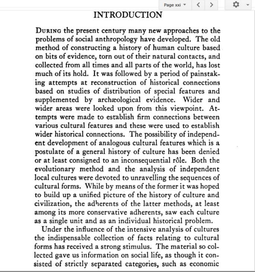## INTRODUCTION

DURING the present century many new approaches to the problems of social anthropology have developed. The old method of constructing a history of human culture based on bits of evidence, torn out of their natural contacts, and collected from all times and all parts of the world, has lost much of its hold. It was followed by a period of painstaking attempts at reconstruction of historical connections based on studies of distribution of special features and supplemented by archæological evidence. Wider and wider areas were looked upon from this viewpoint. Attempts were made to establish firm connections between various cultural features and these were used to establish wider historical connections. The possibility of independ\_ ent development of analogous cultural features which is a postulate of a general history of culture has been denied or at least consigned to an inconsequential rôle. Both the evolutionary method and the analysis of independent local cultures were devoted to unravelling the sequences of cultural forms. While by means of the former it was hoped to build up a unified picture of the history of culture and civilization, the adherents of the latter methods, at least among its more conservative adherents, saw each culture as a single unit and as an individual historical problem.

Under the influence of the intensive analysis of cultures the indispensable collection of facts relating to cultural forms has received a strong stimulus. The material so collected gave us information on social life, as though it consisted of strictly separated categories, such as economic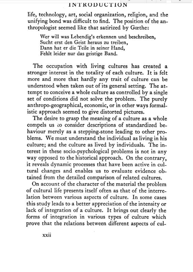## **INTRODUCTION**

life, technology, art, social organization, religion, and the unifying bond was difficult to find. The position of the anthropologist seemed like that satirized by Gœthe:

Wer will was Lebendig's erkennen und beschreiben, Sucht erst den Geist heraus zu treiben, Dann hat er die Teile in seiner Hand. Fehlt leider nur das geistige Band.

The occupation with living cultures has created a stronger interest in the totality of each culture. It is felt more and more that hardly any trait of culture can be understood when taken out of its general setting. The attempt to conceive a whole culture as controlled by a single set of conditions did not solve the problem. The purely anthropo-geographical, economic, or in other ways formal\_ istic approach seemed to give distorted pictures.

The desire to grasp the meaning of a culture as a whole compels us to consider descriptions of standardized behaviour merely as a stepping-stone leading to other problems. We must understand the individual as living in his culture; and the culture as lived by individuals. The in\_ terest in these socia-psychological problems is not in any way opposed to the historical approach. On the contrary, it reveals dynamic processes that have been active in cultural changes and enables us to evaluate evidence obtained from the detailed comparison of related cultures.

On account of the character of the material the problem of cultural life presents itself often as that of the interre\_ lation between various aspects of culture. In some cases this study leads to a better appreciation of the intensity or lack of integration of a culture. It brings out clearly the forms of integration in various types of culture which prove that the relations between different aspects of cul-